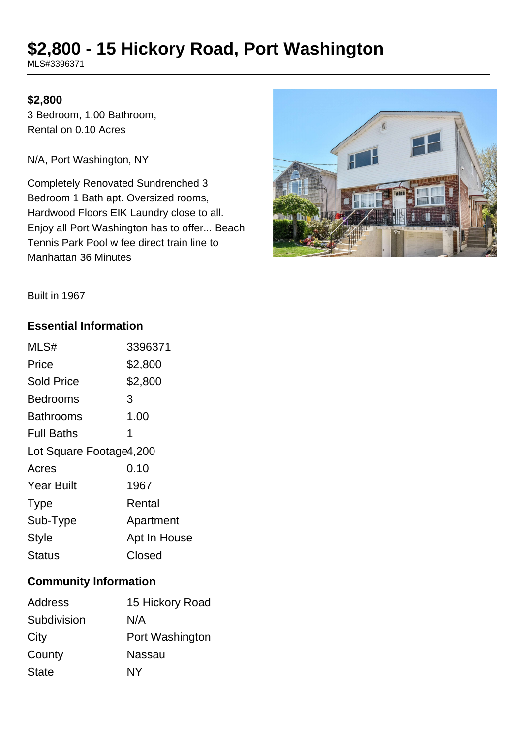# **\$2,800 - 15 Hickory Road, Port Washington**

MLS#3396371

#### **\$2,800**

3 Bedroom, 1.00 Bathroom, Rental on 0.10 Acres

N/A, Port Washington, NY

Completely Renovated Sundrenched 3 Bedroom 1 Bath apt. Oversized rooms, Hardwood Floors EIK Laundry close to all. Enjoy all Port Washington has to offer... Beach Tennis Park Pool w fee direct train line to Manhattan 36 Minutes



Built in 1967

#### **Essential Information**

| MLS#                    | 3396371      |
|-------------------------|--------------|
| Price                   | \$2,800      |
| <b>Sold Price</b>       | \$2,800      |
| Bedrooms                | 3            |
| <b>Bathrooms</b>        | 1.00         |
| <b>Full Baths</b>       | 1            |
| Lot Square Footage4,200 |              |
| Acres                   | 0.10         |
| <b>Year Built</b>       | 1967         |
| <b>Type</b>             | Rental       |
| Sub-Type                | Apartment    |
| <b>Style</b>            | Apt In House |
| <b>Status</b>           | Closed       |

## **Community Information**

| 15 Hickory Road |
|-----------------|
| N/A             |
| Port Washington |
| <b>Nassau</b>   |
| <b>NY</b>       |
|                 |